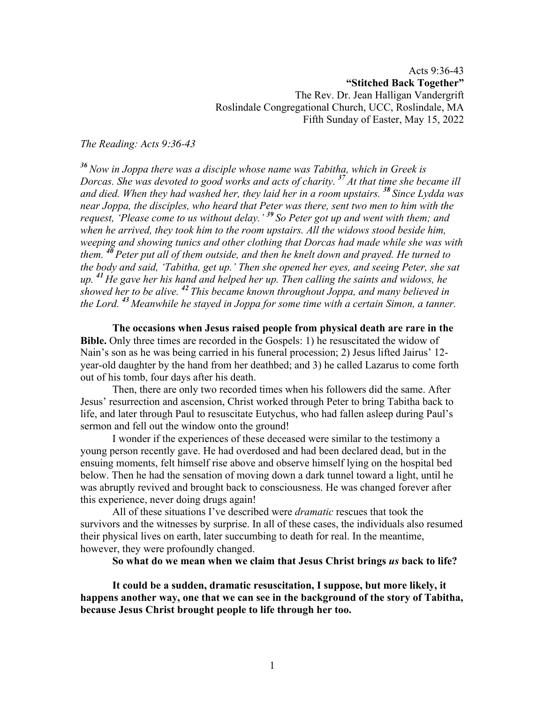Acts 9:36-43 **"Stitched Back Together"** The Rev. Dr. Jean Halligan Vandergrift Roslindale Congregational Church, UCC, Roslindale, MA Fifth Sunday of Easter, May 15, 2022

*The Reading: Acts 9:36-43*

*<sup>36</sup> Now in Joppa there was a disciple whose name was Tabitha, which in Greek is Dorcas. She was devoted to good works and acts of charity. <sup>37</sup> At that time she became ill and died. When they had washed her, they laid her in a room upstairs. <sup>38</sup> Since Lydda was near Joppa, the disciples, who heard that Peter was there, sent two men to him with the request, 'Please come to us without delay.' <sup>39</sup> So Peter got up and went with them; and when he arrived, they took him to the room upstairs. All the widows stood beside him, weeping and showing tunics and other clothing that Dorcas had made while she was with them. <sup>40</sup> Peter put all of them outside, and then he knelt down and prayed. He turned to the body and said, 'Tabitha, get up.' Then she opened her eyes, and seeing Peter, she sat up. <sup>41</sup> He gave her his hand and helped her up. Then calling the saints and widows, he showed her to be alive. <sup>42</sup> This became known throughout Joppa, and many believed in the Lord. <sup>43</sup> Meanwhile he stayed in Joppa for some time with a certain Simon, a tanner.*

**The occasions when Jesus raised people from physical death are rare in the Bible.** Only three times are recorded in the Gospels: 1) he resuscitated the widow of Nain's son as he was being carried in his funeral procession; 2) Jesus lifted Jairus' 12 year-old daughter by the hand from her deathbed; and 3) he called Lazarus to come forth out of his tomb, four days after his death.

Then, there are only two recorded times when his followers did the same. After Jesus' resurrection and ascension, Christ worked through Peter to bring Tabitha back to life, and later through Paul to resuscitate Eutychus, who had fallen asleep during Paul's sermon and fell out the window onto the ground!

I wonder if the experiences of these deceased were similar to the testimony a young person recently gave. He had overdosed and had been declared dead, but in the ensuing moments, felt himself rise above and observe himself lying on the hospital bed below. Then he had the sensation of moving down a dark tunnel toward a light, until he was abruptly revived and brought back to consciousness. He was changed forever after this experience, never doing drugs again!

All of these situations I've described were *dramatic* rescues that took the survivors and the witnesses by surprise. In all of these cases, the individuals also resumed their physical lives on earth, later succumbing to death for real. In the meantime, however, they were profoundly changed.

**So what do we mean when we claim that Jesus Christ brings** *us* **back to life?**

**It could be a sudden, dramatic resuscitation, I suppose, but more likely, it happens another way, one that we can see in the background of the story of Tabitha, because Jesus Christ brought people to life through her too.**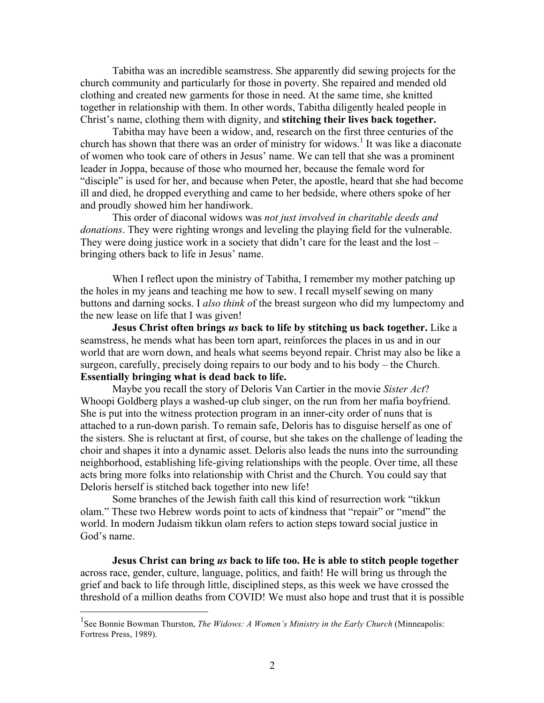Tabitha was an incredible seamstress. She apparently did sewing projects for the church community and particularly for those in poverty. She repaired and mended old clothing and created new garments for those in need. At the same time, she knitted together in relationship with them. In other words, Tabitha diligently healed people in Christ's name, clothing them with dignity, and **stitching their lives back together.**

Tabitha may have been a widow, and, research on the first three centuries of the church has shown that there was an order of ministry for widows. <sup>1</sup> It was like a diaconate of women who took care of others in Jesus' name. We can tell that she was a prominent leader in Joppa, because of those who mourned her, because the female word for "disciple" is used for her, and because when Peter, the apostle, heard that she had become ill and died, he dropped everything and came to her bedside, where others spoke of her and proudly showed him her handiwork.

This order of diaconal widows was *not just involved in charitable deeds and donations*. They were righting wrongs and leveling the playing field for the vulnerable. They were doing justice work in a society that didn't care for the least and the lost – bringing others back to life in Jesus' name.

When I reflect upon the ministry of Tabitha, I remember my mother patching up the holes in my jeans and teaching me how to sew. I recall myself sewing on many buttons and darning socks. I *also think o*f the breast surgeon who did my lumpectomy and the new lease on life that I was given!

**Jesus Christ often brings** *us* **back to life by stitching us back together.** Like a seamstress, he mends what has been torn apart, reinforces the places in us and in our world that are worn down, and heals what seems beyond repair. Christ may also be like a surgeon, carefully, precisely doing repairs to our body and to his body – the Church. **Essentially bringing what is dead back to life.**

Maybe you recall the story of Deloris Van Cartier in the movie *Sister Act*? Whoopi Goldberg plays a washed-up club singer, on the run from her mafia boyfriend. She is put into the witness protection program in an inner-city order of nuns that is attached to a run-down parish. To remain safe, Deloris has to disguise herself as one of the sisters. She is reluctant at first, of course, but she takes on the challenge of leading the choir and shapes it into a dynamic asset. Deloris also leads the nuns into the surrounding neighborhood, establishing life-giving relationships with the people. Over time, all these acts bring more folks into relationship with Christ and the Church. You could say that Deloris herself is stitched back together into new life!

Some branches of the Jewish faith call this kind of resurrection work "tikkun olam." These two Hebrew words point to acts of kindness that "repair" or "mend" the world. In modern Judaism tikkun olam refers to action steps toward social justice in God's name.

**Jesus Christ can bring** *us* **back to life too. He is able to stitch people together** across race, gender, culture, language, politics, and faith! He will bring us through the grief and back to life through little, disciplined steps, as this week we have crossed the threshold of a million deaths from COVID! We must also hope and trust that it is possible

<sup>&</sup>lt;sup>1</sup><br><sup>1</sup> See Bonnie Bowman Thurston, *The Widows: A Women's Ministry in the Early Church* (Minneapolis: Fortress Press, 1989).